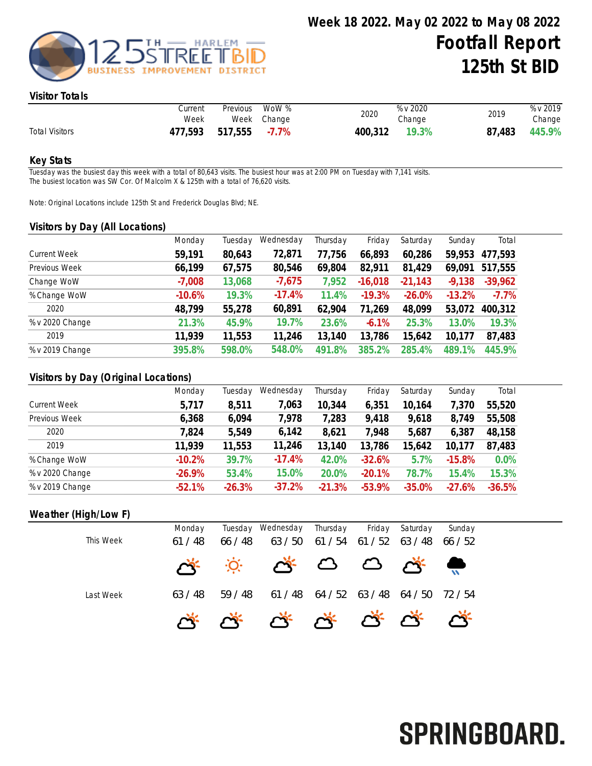

#### Visitor Totals

|                       | Current<br>Week | Previous | WoW %<br>Week Change | 2020    | % v 2020<br>Change | 2019   | % v 2019<br>Change |
|-----------------------|-----------------|----------|----------------------|---------|--------------------|--------|--------------------|
| <b>Total Visitors</b> | 477,593         | 517,555  | $-7.7\%$             | 400,312 | 19.3%              | 87,483 | 445.9%             |

#### Key Stats

Tuesday was the busiest day this week with a total of 80,643 visits. The busiest hour was at 2:00 PM on Tuesday with 7,141 visits. The busiest location was SW Cor. Of Malcolm X & 125th with a total of 76,620 visits.

Note: Original Locations include 125th St and Frederick Douglas Blvd; NE.

#### Visitors by Day (All Locations)

|                     | Monday   | Tuesday | Wednesday | Thursday | Friday    | Saturday  | Sunday   | Total     |
|---------------------|----------|---------|-----------|----------|-----------|-----------|----------|-----------|
| <b>Current Week</b> | 59,191   | 80,643  | 72,871    | 77,756   | 66,893    | 60,286    | 59,953   | 477,593   |
| Previous Week       | 66,199   | 67,575  | 80,546    | 69,804   | 82,911    | 81,429    | 69,091   | 517,555   |
| Change WoW          | $-7,008$ | 13,068  | $-7,675$  | 7,952    | $-16,018$ | $-21,143$ | $-9,138$ | $-39,962$ |
| % Change WoW        | $-10.6%$ | 19.3%   | $-17.4%$  | 11.4%    | $-19.3%$  | $-26.0%$  | $-13.2%$ | $-7.7\%$  |
| 2020                | 48,799   | 55,278  | 60,891    | 62,904   | 71,269    | 48,099    | 53,072   | 400,312   |
| % v 2020 Change     | 21.3%    | 45.9%   | 19.7%     | 23.6%    | $-6.1%$   | 25.3%     | 13.0%    | 19.3%     |
| 2019                | 11.939   | 11,553  | 11,246    | 13,140   | 13,786    | 15,642    | 10,177   | 87,483    |
| % v 2019 Change     | 395.8%   | 598.0%  | 548.0%    | 491.8%   | 385.2%    | 285.4%    | 489.1%   | 445.9%    |
|                     |          |         |           |          |           |           |          |           |

## Visitors by Day (Original Locations)

|                     | Monday   | Tuesday  | Wednesday | Thursday | Friday   | Saturday | Sunday   | Total    |
|---------------------|----------|----------|-----------|----------|----------|----------|----------|----------|
| <b>Current Week</b> | 5,717    | 8,511    | 7,063     | 10,344   | 6,351    | 10,164   | 7,370    | 55,520   |
| Previous Week       | 6,368    | 6,094    | 7,978     | 7,283    | 9,418    | 9,618    | 8,749    | 55,508   |
| 2020                | 7,824    | 5,549    | 6,142     | 8,621    | 7,948    | 5,687    | 6,387    | 48,158   |
| 2019                | 11,939   | 11,553   | 11,246    | 13,140   | 13,786   | 15,642   | 10,177   | 87,483   |
| % Change WoW        | $-10.2%$ | 39.7%    | $-17.4%$  | 42.0%    | $-32.6%$ | 5.7%     | $-15.8%$ | 0.0%     |
| % v 2020 Change     | $-26.9%$ | 53.4%    | 15.0%     | 20.0%    | $-20.1%$ | 78.7%    | 15.4%    | 15.3%    |
| % v 2019 Change     | $-52.1%$ | $-26.3%$ | $-37.2%$  | $-21.3%$ | $-53.9%$ | $-35.0%$ | $-27.6%$ | $-36.5%$ |

## Weather (High/Low F)

| This Week | Monday<br>61/48 | 66 / 48 | Tuesday Wednesday Thursday<br>63 / 50 |                                         | Friday<br>61/54 61/52 | Saturday<br>63 / 48 | Sunday<br>66 / 52 |
|-----------|-----------------|---------|---------------------------------------|-----------------------------------------|-----------------------|---------------------|-------------------|
|           |                 |         |                                       |                                         |                       |                     |                   |
| Last Week | 63 / 48         | 59/48   |                                       | 61 / 48 64 / 52 63 / 48 64 / 50 72 / 54 |                       |                     |                   |
|           |                 |         | <u>G. G. G. G. G. G. G.</u>           |                                         |                       |                     |                   |

# SPRINGBOARD.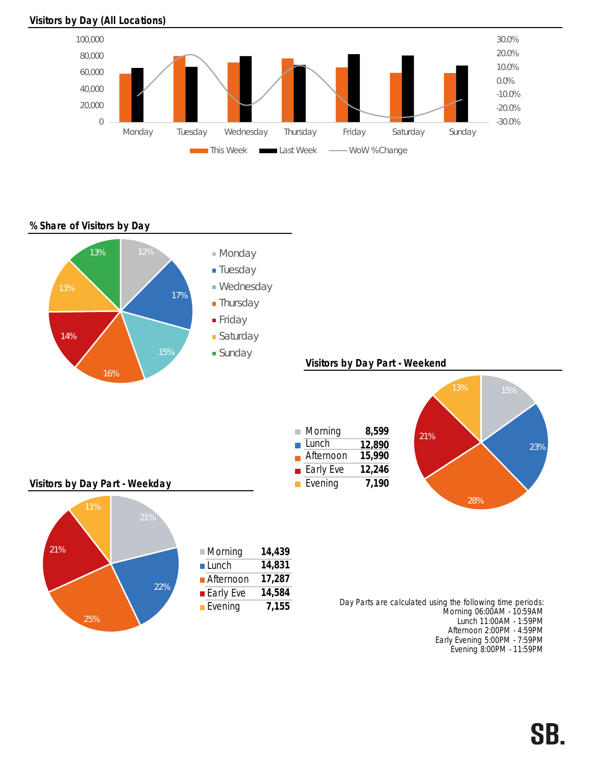### Visitors by Day (All Locations)



% Share of Visitors by Day



Early Evening 5:00PM - 7:59PM Evening 8:00PM - 11:59PM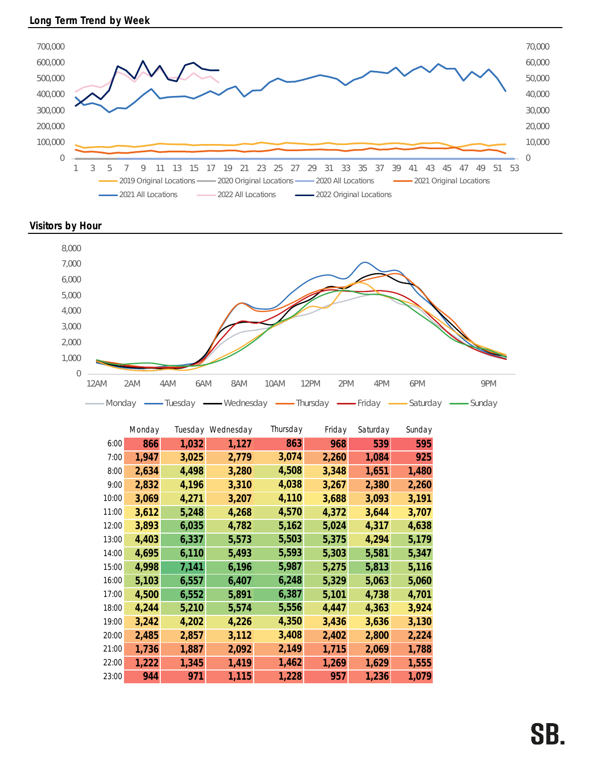

Visitors by Hour



|       | Monday |       | Tuesday Wednesday | Thursday | Friday | Saturday | Sunday |
|-------|--------|-------|-------------------|----------|--------|----------|--------|
| 6:00  | 866    | 1,032 | 1,127             | 863      | 968    | 539      | 595    |
| 7:00  | 1,947  | 3,025 | 2,779             | 3,074    | 2,260  | 1,084    | 925    |
| 8:00  | 2,634  | 4,498 | 3,280             | 4,508    | 3,348  | 1,651    | 1,480  |
| 9:00  | 2,832  | 4,196 | 3,310             | 4,038    | 3,267  | 2,380    | 2,260  |
| 10:00 | 3,069  | 4,271 | 3,207             | 4,110    | 3,688  | 3,093    | 3,191  |
| 11:00 | 3,612  | 5,248 | 4,268             | 4,570    | 4,372  | 3,644    | 3,707  |
| 12:00 | 3,893  | 6,035 | 4,782             | 5,162    | 5,024  | 4,317    | 4,638  |
| 13:00 | 4,403  | 6,337 | 5,573             | 5,503    | 5,375  | 4,294    | 5,179  |
| 14:00 | 4,695  | 6,110 | 5,493             | 5,593    | 5,303  | 5,581    | 5,347  |
| 15:00 | 4,998  | 7,141 | 6,196             | 5,987    | 5,275  | 5,813    | 5,116  |
| 16:00 | 5,103  | 6,557 | 6,407             | 6,248    | 5,329  | 5,063    | 5,060  |
| 17:00 | 4,500  | 6,552 | 5,891             | 6,387    | 5,101  | 4,738    | 4,701  |
| 18:00 | 4,244  | 5,210 | 5,574             | 5,556    | 4,447  | 4,363    | 3,924  |
| 19:00 | 3,242  | 4,202 | 4,226             | 4,350    | 3,436  | 3,636    | 3,130  |
| 20:00 | 2,485  | 2,857 | 3,112             | 3,408    | 2,402  | 2,800    | 2,224  |
| 21:00 | 1,736  | 1,887 | 2,092             | 2,149    | 1,715  | 2,069    | 1,788  |
| 22:00 | 1,222  | 1,345 | 1,419             | 1,462    | 1,269  | 1,629    | 1,555  |
| 23:00 | 944    | 971   | 1,115             | 1,228    | 957    | 1,236    | 1,079  |